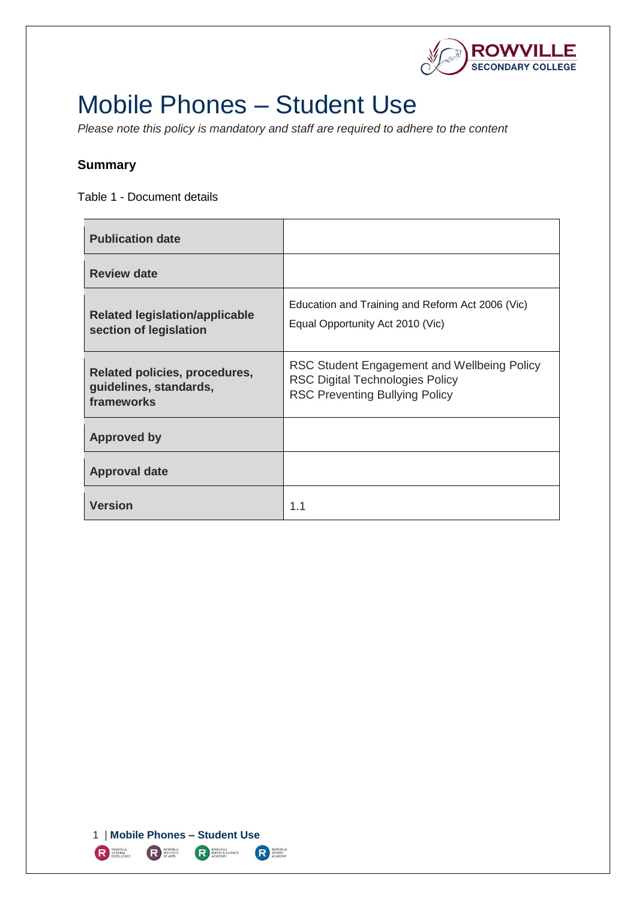

# <span id="page-0-0"></span>Mobile Phones – Student Use

*Please note this policy is mandatory and staff are required to adhere to the content* 

# <span id="page-0-1"></span>**Summary**

Table 1 - Document details

| <b>Publication date</b>                                               |                                                                                                                                |
|-----------------------------------------------------------------------|--------------------------------------------------------------------------------------------------------------------------------|
| <b>Review date</b>                                                    |                                                                                                                                |
| <b>Related legislation/applicable</b><br>section of legislation       | Education and Training and Reform Act 2006 (Vic)<br>Equal Opportunity Act 2010 (Vic)                                           |
| Related policies, procedures,<br>guidelines, standards,<br>frameworks | RSC Student Engagement and Wellbeing Policy<br><b>RSC Digital Technologies Policy</b><br><b>RSC Preventing Bullying Policy</b> |
| <b>Approved by</b>                                                    |                                                                                                                                |
| <b>Approval date</b>                                                  |                                                                                                                                |
| <b>Version</b>                                                        | 1.1                                                                                                                            |

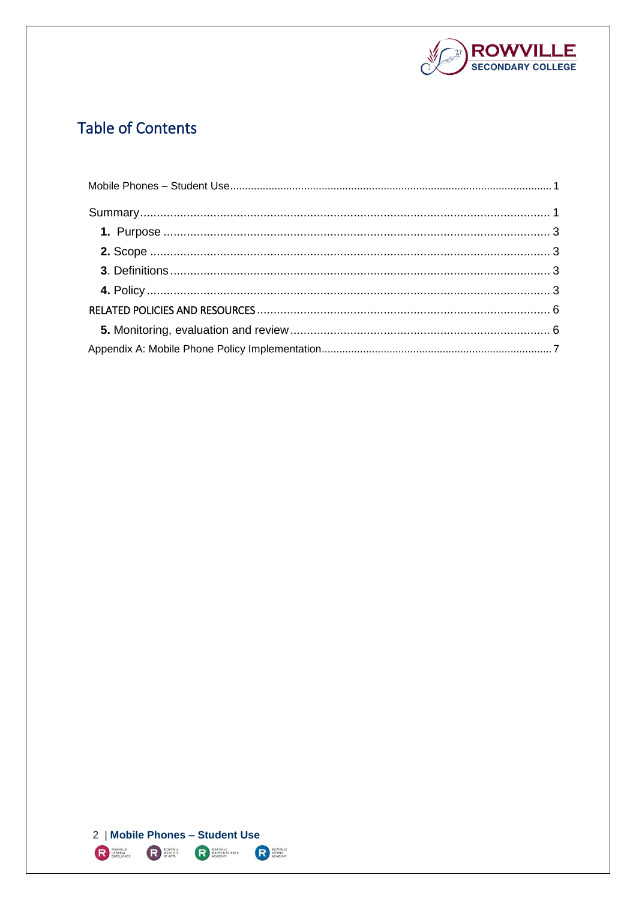

# **Table of Contents**

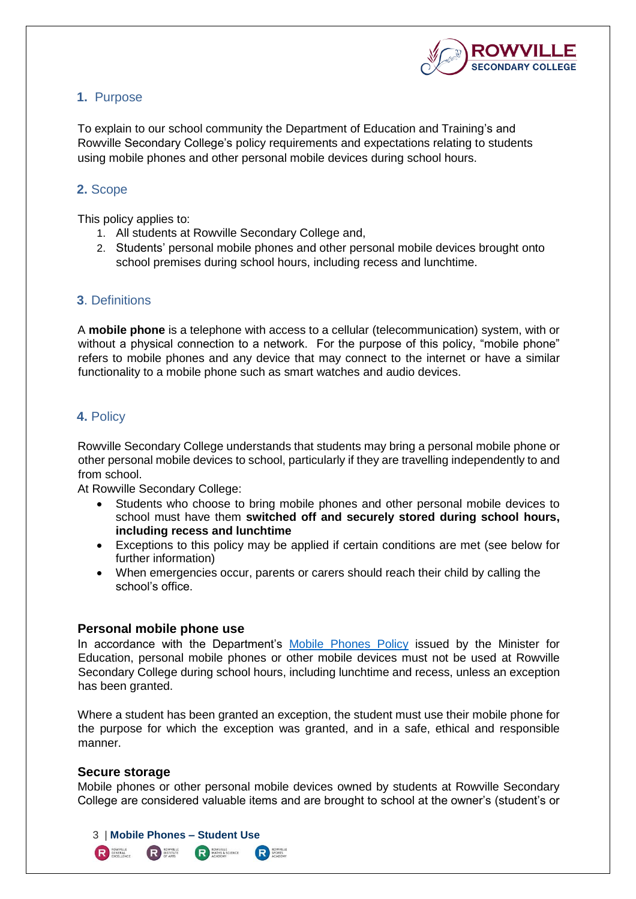

## <span id="page-2-0"></span>**1.** Purpose

To explain to our school community the Department of Education and Training's and Rowville Secondary College's policy requirements and expectations relating to students using mobile phones and other personal mobile devices during school hours.

# <span id="page-2-1"></span>**2.** Scope

This policy applies to:

- 1. All students at Rowville Secondary College and,
- 2. Students' personal mobile phones and other personal mobile devices brought onto school premises during school hours, including recess and lunchtime.

#### <span id="page-2-2"></span>**3**. Definitions

A **mobile phone** is a telephone with access to a cellular (telecommunication) system, with or without a physical connection to a network. For the purpose of this policy, "mobile phone" refers to mobile phones and any device that may connect to the internet or have a similar functionality to a mobile phone such as smart watches and audio devices.

# <span id="page-2-3"></span>**4.** Policy

Rowville Secondary College understands that students may bring a personal mobile phone or other personal mobile devices to school, particularly if they are travelling independently to and from school.

At Rowville Secondary College:

- Students who choose to bring mobile phones and other personal mobile devices to school must have them **switched off and securely stored during school hours, including recess and lunchtime**
- Exceptions to this policy may be applied if certain conditions are met (see below for further information)
- When emergencies occur, parents or carers should reach their child by calling the school's office.

#### **Personal mobile phone use**

3 | **Mobile Phones – Student Use**

**READER**<br>ACADEMY

**R**<br>SPORTS<br>ACADEMY

ROWVILLE

In accordance with the Department's [Mobile Phones Policy](https://www.education.vic.gov.au/school/principals/spag/safety/Pages/mobilephones.aspx) issued by the Minister for Education, personal mobile phones or other mobile devices must not be used at Rowville Secondary College during school hours, including lunchtime and recess, unless an exception has been granted.

Where a student has been granted an exception, the student must use their mobile phone for the purpose for which the exception was granted, and in a safe, ethical and responsible manner.

#### **Secure storage**

R **BENERAL**<br>EXCELLENCE

Mobile phones or other personal mobile devices owned by students at Rowville Secondary College are considered valuable items and are brought to school at the owner's (student's or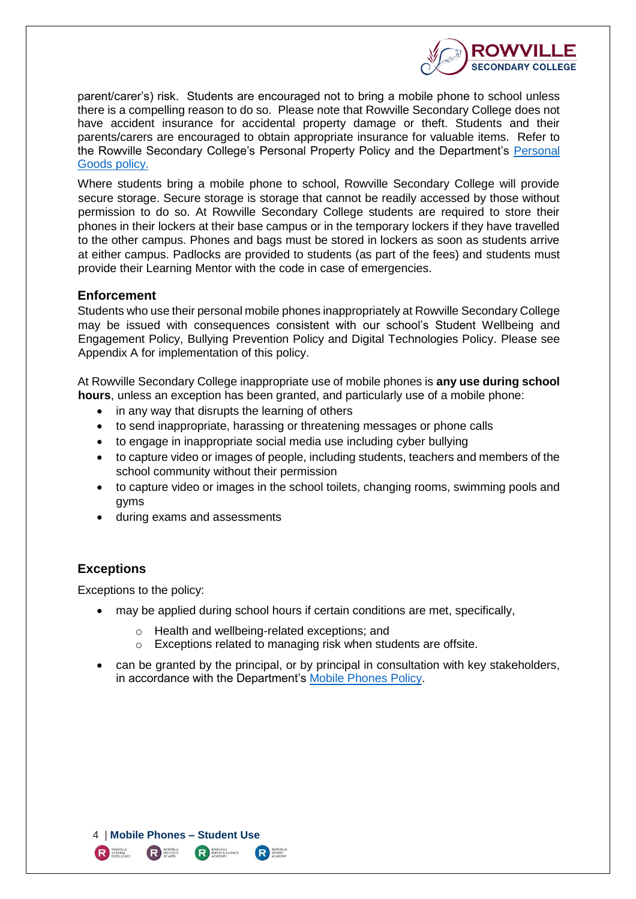

parent/carer's) risk. Students are encouraged not to bring a mobile phone to school unless there is a compelling reason to do so. Please note that Rowville Secondary College does not have accident insurance for accidental property damage or theft. Students and their parents/carers are encouraged to obtain appropriate insurance for valuable items. Refer to the Rowville Secondary College's Personal Property Policy and the Department's [Personal](https://www.education.vic.gov.au/school/principals/spag/governance/pages/personalgoods.aspx)  [Goods](https://www.education.vic.gov.au/school/principals/spag/governance/pages/personalgoods.aspx) policy.

Where students bring a mobile phone to school, Rowville Secondary College will provide secure storage. Secure storage is storage that cannot be readily accessed by those without permission to do so. At Rowville Secondary College students are required to store their phones in their lockers at their base campus or in the temporary lockers if they have travelled to the other campus. Phones and bags must be stored in lockers as soon as students arrive at either campus. Padlocks are provided to students (as part of the fees) and students must provide their Learning Mentor with the code in case of emergencies.

#### **Enforcement**

Students who use their personal mobile phones inappropriately at Rowville Secondary College may be issued with consequences consistent with our school's Student Wellbeing and Engagement Policy, Bullying Prevention Policy and Digital Technologies Policy. Please see Appendix A for implementation of this policy.

At Rowville Secondary College inappropriate use of mobile phones is **any use during school hours**, unless an exception has been granted, and particularly use of a mobile phone:

- in any way that disrupts the learning of others
- to send inappropriate, harassing or threatening messages or phone calls
- to engage in inappropriate social media use including cyber bullying
- to capture video or images of people, including students, teachers and members of the school community without their permission
- to capture video or images in the school toilets, changing rooms, swimming pools and gyms
- during exams and assessments

# **Exceptions**

Exceptions to the policy:

- may be applied during school hours if certain conditions are met, specifically,
	- o Health and wellbeing-related exceptions; and
	- o Exceptions related to managing risk when students are offsite.
- can be granted by the principal, or by principal in consultation with key stakeholders, in accordance with the Department's [Mobile Phones Policy.](https://www.education.vic.gov.au/school/principals/spag/safety/Pages/mobilephones.aspx)

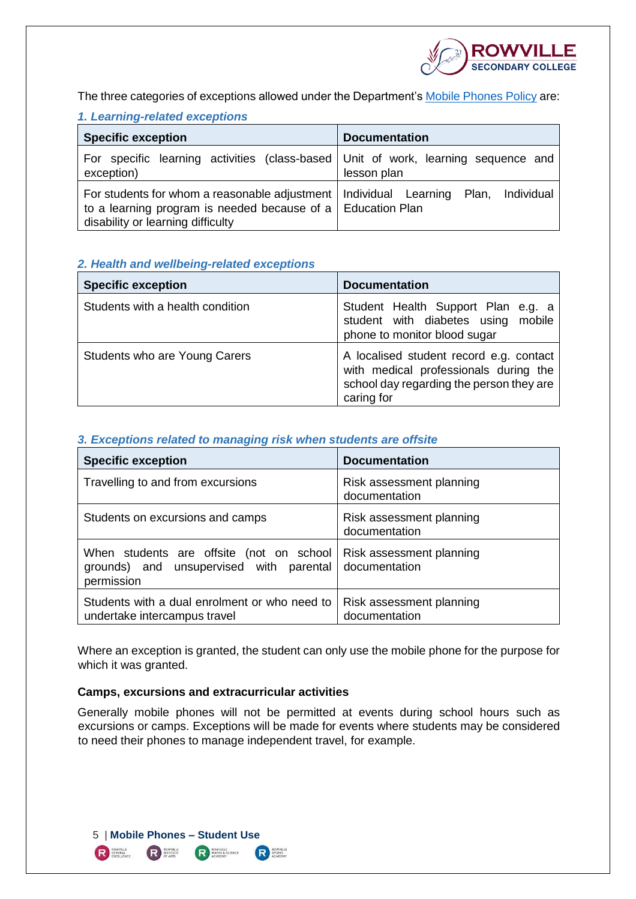

The three categories of exceptions allowed under the Department's **Mobile Phones Policy** are:

#### *1. Learning-related exceptions*

| <b>Specific exception</b>                                                                                                                                                                        | <b>Documentation</b> |
|--------------------------------------------------------------------------------------------------------------------------------------------------------------------------------------------------|----------------------|
| For specific learning activities (class-based   Unit of work, learning sequence and<br>exception)                                                                                                | lesson plan          |
| For students for whom a reasonable adjustment   Individual Learning Plan, Individual<br>to a learning program is needed because of a $\vert$ Education Plan<br>disability or learning difficulty |                      |

#### *2. Health and wellbeing-related exceptions*

| <b>Specific exception</b>        | <b>Documentation</b>                                                                                                                       |
|----------------------------------|--------------------------------------------------------------------------------------------------------------------------------------------|
| Students with a health condition | Student Health Support Plan e.g. a<br>student with diabetes using mobile<br>phone to monitor blood sugar                                   |
| Students who are Young Carers    | A localised student record e.g. contact<br>with medical professionals during the<br>school day regarding the person they are<br>caring for |

#### *3. Exceptions related to managing risk when students are offsite*

| <b>Specific exception</b>                                                                         | <b>Documentation</b>                      |
|---------------------------------------------------------------------------------------------------|-------------------------------------------|
| Travelling to and from excursions                                                                 | Risk assessment planning<br>documentation |
| Students on excursions and camps                                                                  | Risk assessment planning<br>documentation |
| When students are offsite (not on school<br>grounds) and unsupervised with parental<br>permission | Risk assessment planning<br>documentation |
| Students with a dual enrolment or who need to<br>undertake intercampus travel                     | Risk assessment planning<br>documentation |

Where an exception is granted, the student can only use the mobile phone for the purpose for which it was granted.

#### **Camps, excursions and extracurricular activities**

Generally mobile phones will not be permitted at events during school hours such as excursions or camps. Exceptions will be made for events where students may be considered to need their phones to manage independent travel, for example.

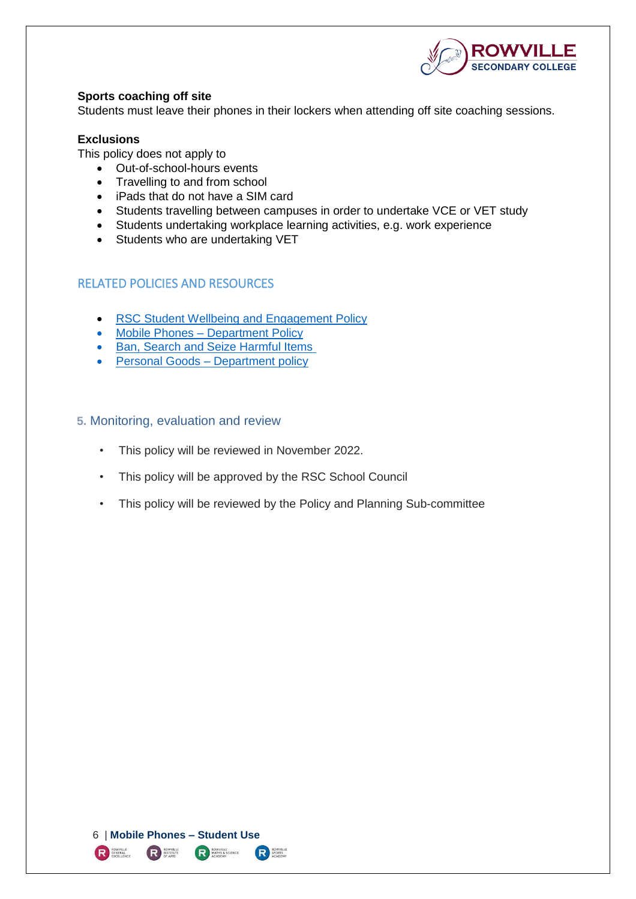

#### **Sports coaching off site**

Students must leave their phones in their lockers when attending off site coaching sessions.

#### **Exclusions**

This policy does not apply to

- Out-of-school-hours events
- Travelling to and from school
- iPads that do not have a SIM card
- Students travelling between campuses in order to undertake VCE or VET study
- Students undertaking workplace learning activities, e.g. work experience
- Students who are undertaking VET

# <span id="page-5-0"></span>RELATED POLICIES AND RESOURCES

- [RSC Student Wellbeing and Engagement Policy](https://www.rowvillesc.vic.edu.au/wp-content/uploads/2019/08/RSC-Student-Wellbeing-and-Engagement-Policy.pdf)
- Mobile Phones [Department Policy](https://www.education.vic.gov.au/school/principals/spag/safety/Pages/mobilephones.aspx)
- [Ban, Search and Seize Harmful Items](https://www.education.vic.gov.au/school/principals/spag/safety/Pages/property.aspx)
- [Personal Goods](https://www.education.vic.gov.au/school/principals/spag/governance/pages/personalgoods.aspx) Department policy

#### <span id="page-5-1"></span>**5.** Monitoring, evaluation and review

- This policy will be reviewed in November 2022.
- This policy will be approved by the RSC School Council
- This policy will be reviewed by the Policy and Planning Sub-committee

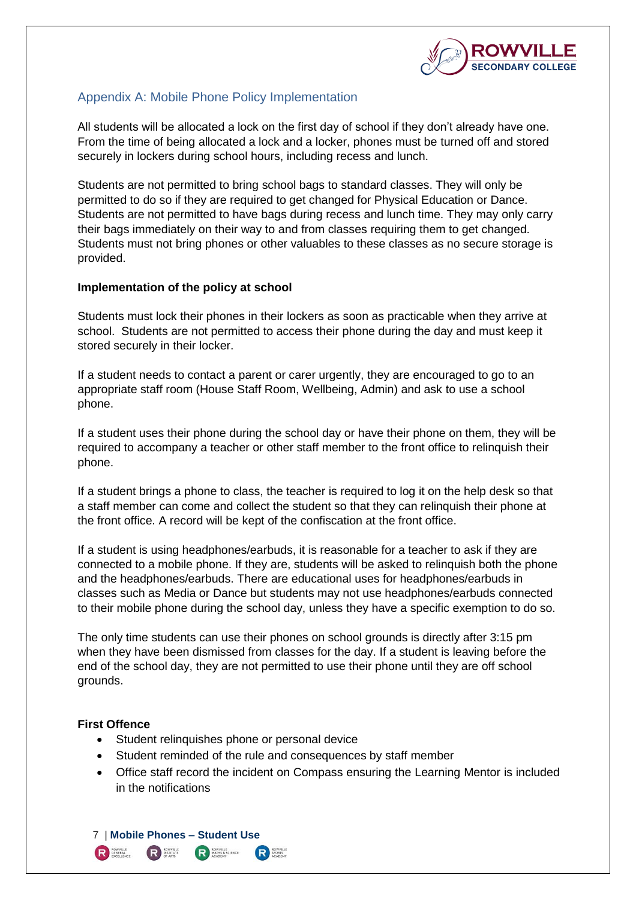

# <span id="page-6-0"></span>Appendix A: Mobile Phone Policy Implementation

All students will be allocated a lock on the first day of school if they don't already have one. From the time of being allocated a lock and a locker, phones must be turned off and stored securely in lockers during school hours, including recess and lunch.

Students are not permitted to bring school bags to standard classes. They will only be permitted to do so if they are required to get changed for Physical Education or Dance. Students are not permitted to have bags during recess and lunch time. They may only carry their bags immediately on their way to and from classes requiring them to get changed. Students must not bring phones or other valuables to these classes as no secure storage is provided.

#### **Implementation of the policy at school**

Students must lock their phones in their lockers as soon as practicable when they arrive at school. Students are not permitted to access their phone during the day and must keep it stored securely in their locker.

If a student needs to contact a parent or carer urgently, they are encouraged to go to an appropriate staff room (House Staff Room, Wellbeing, Admin) and ask to use a school phone.

If a student uses their phone during the school day or have their phone on them, they will be required to accompany a teacher or other staff member to the front office to relinquish their phone.

If a student brings a phone to class, the teacher is required to log it on the help desk so that a staff member can come and collect the student so that they can relinquish their phone at the front office. A record will be kept of the confiscation at the front office.

If a student is using headphones/earbuds, it is reasonable for a teacher to ask if they are connected to a mobile phone. If they are, students will be asked to relinquish both the phone and the headphones/earbuds. There are educational uses for headphones/earbuds in classes such as Media or Dance but students may not use headphones/earbuds connected to their mobile phone during the school day, unless they have a specific exemption to do so.

The only time students can use their phones on school grounds is directly after 3:15 pm when they have been dismissed from classes for the day. If a student is leaving before the end of the school day, they are not permitted to use their phone until they are off school grounds.

#### **First Offence**

- Student relinquishes phone or personal device
- Student reminded of the rule and consequences by staff member
- Office staff record the incident on Compass ensuring the Learning Mentor is included in the notifications

7 | **Mobile Phones – Student Use** R **BENERAL** ROWVILLE **R**<br>MATHS & SCIENCE **R**<br>SPORTS<br>ACADEMY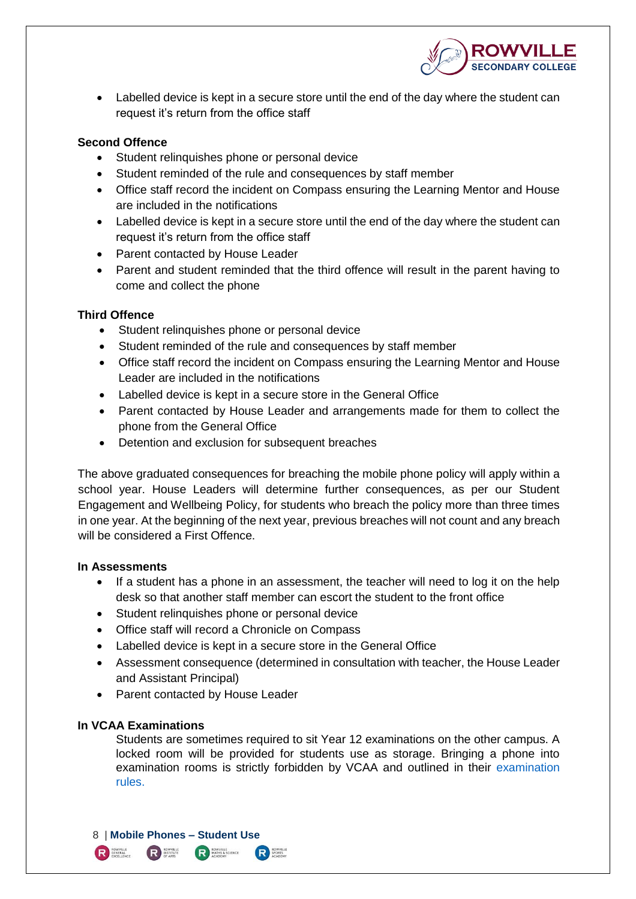

 Labelled device is kept in a secure store until the end of the day where the student can request it's return from the office staff

#### **Second Offence**

- Student relinquishes phone or personal device
- Student reminded of the rule and consequences by staff member
- Office staff record the incident on Compass ensuring the Learning Mentor and House are included in the notifications
- Labelled device is kept in a secure store until the end of the day where the student can request it's return from the office staff
- Parent contacted by House Leader
- Parent and student reminded that the third offence will result in the parent having to come and collect the phone

#### **Third Offence**

- Student relinquishes phone or personal device
- Student reminded of the rule and consequences by staff member
- Office staff record the incident on Compass ensuring the Learning Mentor and House Leader are included in the notifications
- Labelled device is kept in a secure store in the General Office
- Parent contacted by House Leader and arrangements made for them to collect the phone from the General Office
- Detention and exclusion for subsequent breaches

The above graduated consequences for breaching the mobile phone policy will apply within a school year. House Leaders will determine further consequences, as per our Student Engagement and Wellbeing Policy, for students who breach the policy more than three times in one year. At the beginning of the next year, previous breaches will not count and any breach will be considered a First Offence.

#### **In Assessments**

- If a student has a phone in an assessment, the teacher will need to log it on the help desk so that another staff member can escort the student to the front office
- Student relinquishes phone or personal device
- Office staff will record a Chronicle on Compass
- Labelled device is kept in a secure store in the General Office
- Assessment consequence (determined in consultation with teacher, the House Leader and Assistant Principal)
- Parent contacted by House Leader

#### **In VCAA Examinations**

Students are sometimes required to sit Year 12 examinations on the other campus. A locked room will be provided for students use as storage. Bringing a phone into examination rooms is strictly forbidden by VCAA and outlined in their examination [rules.](https://www.vcaa.vic.edu.au/assessment/vce-assessment/Pages/ExaminationRules.aspx)